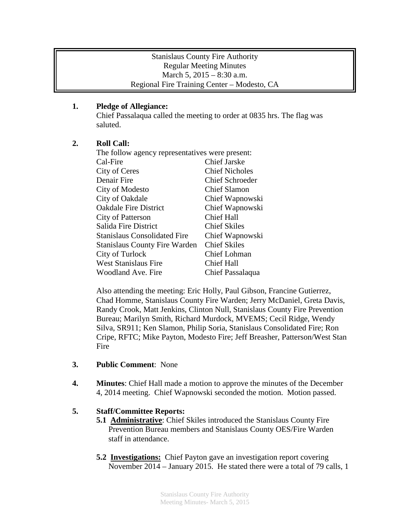### Stanislaus County Fire Authority Regular Meeting Minutes March 5, 2015 – 8:30 a.m. Regional Fire Training Center – Modesto, CA

## **1. Pledge of Allegiance:**

Chief Passalaqua called the meeting to order at 0835 hrs. The flag was saluted.

# **2. Roll Call:**

| The follow agency representatives were present: |                        |
|-------------------------------------------------|------------------------|
| Cal-Fire                                        | <b>Chief Jarske</b>    |
| City of Ceres                                   | <b>Chief Nicholes</b>  |
| Denair Fire                                     | <b>Chief Schroeder</b> |
| City of Modesto                                 | <b>Chief Slamon</b>    |
| City of Oakdale                                 | Chief Wapnowski        |
| <b>Oakdale Fire District</b>                    | Chief Wapnowski        |
| City of Patterson                               | <b>Chief Hall</b>      |
| Salida Fire District                            | <b>Chief Skiles</b>    |
| <b>Stanislaus Consolidated Fire</b>             | Chief Wapnowski        |
| <b>Stanislaus County Fire Warden</b>            | <b>Chief Skiles</b>    |
| City of Turlock                                 | Chief Lohman           |
| <b>West Stanislaus Fire</b>                     | Chief Hall             |
| Woodland Ave. Fire                              | Chief Passalaqua       |

Also attending the meeting: Eric Holly, Paul Gibson, Francine Gutierrez, Chad Homme, Stanislaus County Fire Warden; Jerry McDaniel, Greta Davis, Randy Crook, Matt Jenkins, Clinton Null, Stanislaus County Fire Prevention Bureau; Marilyn Smith, Richard Murdock, MVEMS; Cecil Ridge, Wendy Silva, SR911; Ken Slamon, Philip Soria, Stanislaus Consolidated Fire; Ron Cripe, RFTC; Mike Payton, Modesto Fire; Jeff Breasher, Patterson/West Stan Fire

- **3. Public Comment**: None
- **4. Minutes**: Chief Hall made a motion to approve the minutes of the December 4, 2014 meeting. Chief Wapnowski seconded the motion. Motion passed.

## **5. Staff/Committee Reports:**

- **5.1 Administrative**: Chief Skiles introduced the Stanislaus County Fire Prevention Bureau members and Stanislaus County OES/Fire Warden staff in attendance.
- **5.2 Investigations:** Chief Payton gave an investigation report covering November 2014 – January 2015. He stated there were a total of 79 calls, 1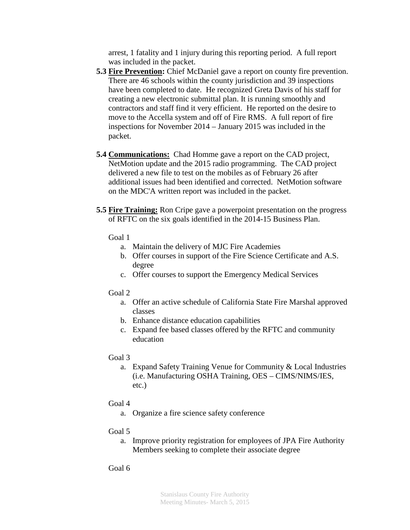arrest, 1 fatality and 1 injury during this reporting period. A full report was included in the packet.

- **5.3 Fire Prevention:** Chief McDaniel gave a report on county fire prevention. There are 46 schools within the county jurisdiction and 39 inspections have been completed to date. He recognized Greta Davis of his staff for creating a new electronic submittal plan. It is running smoothly and contractors and staff find it very efficient. He reported on the desire to move to the Accella system and off of Fire RMS. A full report of fire inspections for November 2014 – January 2015 was included in the packet.
- **5.4 Communications:** Chad Homme gave a report on the CAD project, NetMotion update and the 2015 radio programming. The CAD project delivered a new file to test on the mobiles as of February 26 after additional issues had been identified and corrected. NetMotion software on the MDC'A written report was included in the packet.
- **5.5 Fire Training:** Ron Cripe gave a powerpoint presentation on the progress of RFTC on the six goals identified in the 2014-15 Business Plan.
	- Goal 1
		- a. Maintain the delivery of MJC Fire Academies
		- b. Offer courses in support of the Fire Science Certificate and A.S. degree
		- c. Offer courses to support the Emergency Medical Services

## Goal 2

- a. Offer an active schedule of California State Fire Marshal approved classes
- b. Enhance distance education capabilities
- c. Expand fee based classes offered by the RFTC and community education

## Goal 3

- a. Expand Safety Training Venue for Community & Local Industries (i.e. Manufacturing OSHA Training, OES – CIMS/NIMS/IES, etc.)
- Goal 4
	- a. Organize a fire science safety conference
- Goal 5
	- a. Improve priority registration for employees of JPA Fire Authority Members seeking to complete their associate degree

## Goal 6